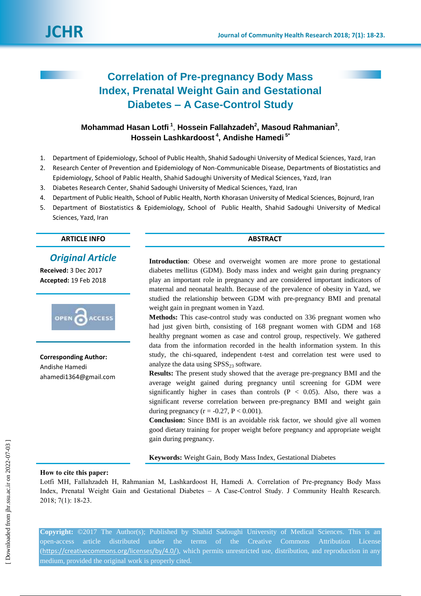

# **Correlation of Pre-pregnancy Body Mass Index, Prenatal Weight Gain and Gestational Diabetes – A Case-Control Study**

## **Mohammad Hasan Lotfi <sup>1</sup>** , **Hossein Fallahzadeh<sup>2</sup> , Masoud Rahmanian<sup>3</sup>** , **Hossein Lashkardoost <sup>4</sup> , Andishe Hamedi 5\***

- 1. Department of Epidemiology, School of Public Health, Shahid Sadoughi University of Medical Sciences, Yazd, Iran
- 2. Research Center of Prevention and Epidemiology of Non-Communicable Disease, Departments of Biostatistics and Epidemiology, School of Pablic Health, Shahid Sadoughi University of Medical Sciences, Yazd, Iran
- 3. Diabetes Research Center, Shahid Sadoughi University of Medical Sciences, Yazd, Iran
- 4. Department of Public Health, School of Public Health, North Khorasan University of Medical Sciences, Bojnurd, Iran
- 5. Department of Biostatistics & Epidemiology, School of Public Health, Shahid Sadoughi University of Medical Sciences, Yazd, Iran

#### **ARTICLE INFO ABSTRACT**

## *Original Article*

**Received:** 3 Dec 2017 **Accepted:** 19 Feb 2018



**Corresponding Author:** Andishe Hamedi ahamedi1364@gmail.com

**Introduction**: Obese and overweight women are more prone to gestational diabetes mellitus (GDM). Body mass index and weight gain during pregnancy play an important role in pregnancy and are considered important indicators of maternal and neonatal health. Because of the prevalence of obesity in Yazd, we studied the relationship between GDM with pre-pregnancy BMI and prenatal weight gain in pregnant women in Yazd.

**Methods:** This case-control study was conducted on 336 pregnant women who had just given birth, consisting of 168 pregnant women with GDM and 168 healthy pregnant women as case and control group, respectively. We gathered data from the information recorded in the health information system. In this study, the chi-squared, independent t-test and correlation test were used to analyze the data using  $SPSS<sub>23</sub>$  software.

**Results:** The present study showed that the average pre-pregnancy BMI and the average weight gained during pregnancy until screening for GDM were significantly higher in cases than controls  $(P < 0.05)$ . Also, there was a significant reverse correlation between pre-pregnancy BMI and weight gain during pregnancy ( $r = -0.27$ ,  $P < 0.001$ ).

**Conclusion:** Since BMI is an avoidable risk factor, we should give all women good dietary training for proper weight before pregnancy and appropriate weight gain during pregnancy.

**Keywords:** Weight Gain, Body Mass Index, Gestational Diabetes

#### **How to cite this paper:**

Lotfi MH, Fallahzadeh H, Rahmanian M, Lashkardoost H, Hamedi A. Correlation of Pre-pregnancy Body Mass Index, Prenatal Weight Gain and Gestational Diabetes – A Case-Control Study. J Community Health Research. 2018; 7(1): 18-23.

**Copyright:** ©2017 The Author(s); Published by Shahid Sadoughi University of Medical Sciences. This is an open-access article distributed under the terms of the Creative Commons Attribution License (<https://creativecommons.org/licenses/by/4.0/>), which permits unrestricted use, distribution, and reproduction in any medium, provided the original work is properly cited.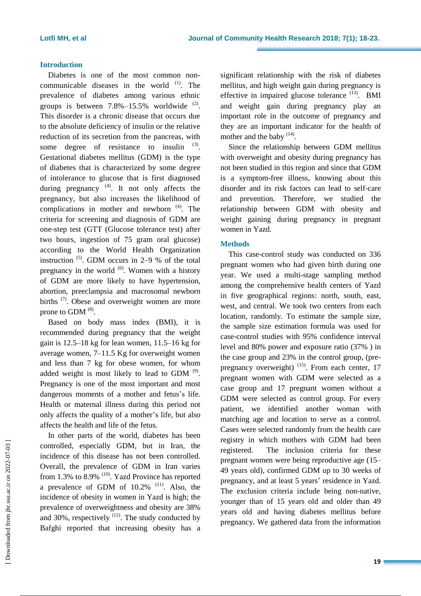### **Introduction**

Diabetes is one of the most common noncommunicable diseases in the world  $(1)$ . The prevalence of diabetes among various ethnic groups is between  $7.8\% - 15.5\%$  worldwide  $^{(2)}$ . This disorder is a chronic disease that occurs due to the absolute deficiency of insulin or the relative reduction of its secretion from the pancreas, with some degree of resistance to insulin  $(3)$ . Gestational diabetes mellitus (GDM) is the type of diabetes that is characterized by some degree of intolerance to glucose that is first diagnosed during pregnancy<sup>(4)</sup>. It not only affects the pregnancy, but also increases the likelihood of complications in mother and newborn  $(4)$ . The criteria for screening and diagnosis of GDM are one-step test (GTT (Glucose tolerance test) after two hours, ingestion of 75 gram oral glucose) according to the World Health Organization instruction  $(5)$ . GDM occurs in 2–9 % of the total pregnancy in the world  $(6)$ . Women with a history of GDM are more likely to have hypertension, abortion, preeclampsia and macrosomal newborn births <sup>(7)</sup>. Obese and overweight women are more prone to GDM  $<sup>(8)</sup>$ .</sup>

Based on body mass index (BMI), it is recommended during pregnancy that the weight gain is 12.5–18 kg for lean women, 11.5–16 kg for average women, 7–11.5 Kg for overweight women and less than 7 kg for obese women, for whom added weight is most likely to lead to GDM  $^{(9)}$ . Pregnancy is one of the most important and most dangerous moments of a mother and fetus's life. Health or maternal illness during this period not only affects the quality of a mother's life, but also affects the health and life of the fetus.

In other parts of the world, diabetes has been controlled, especially GDM, but in Iran, the incidence of this disease has not been controlled. Overall, the prevalence of GDM in Iran varies from 1.3% to 8.9%  $(10)$ . Yazd Province has reported a prevalence of GDM of  $10.2\%$ <sup>(11)</sup>. Also, the incidence of obesity in women in Yazd is high; the prevalence of overweightness and obesity are 38% and 30%, respectively  $(12)$ . The study conducted by Bafghi reported that increasing obesity has a

significant relationship with the risk of diabetes mellitus, and high weight gain during pregnancy is effective in impaired glucose tolerance  $(13)$ . BMI and weight gain during pregnancy play an important role in the outcome of pregnancy and they are an important indicator for the health of mother and the baby  $(14)$ .

Since the relationship between GDM mellitus with overweight and obesity during pregnancy has not been studied in this region and since that GDM is a symptom-free illness, knowing about this disorder and its risk factors can lead to self-care and prevention. Therefore, we studied the relationship between GDM with obesity and weight gaining during pregnancy in pregnant women in Yazd.

#### **Methods**

This case-control study was conducted on 336 pregnant women who had given birth during one year. We used a multi-stage sampling method among the comprehensive health centers of Yazd in five geographical regions: north, south, east, west, and central. We took two centers from each location, randomly. To estimate the sample size, the sample size estimation formula was used for case-control studies with 95% confidence interval level and 80% power and exposure ratio (37% ) in the case group and 23% in the control group, (prepregnancy overweight) <sup>(15)</sup>. From each center, 17 pregnant women with GDM were selected as a case group and 17 pregnant women without a GDM were selected as control group. For every patient, we identified another woman with matching age and location to serve as a control. Cases were selected randomly from the health care registry in which mothers with GDM had been registered. The inclusion criteria for these pregnant women were being reproductive age (15– 49 years old), confirmed GDM up to 30 weeks of pregnancy, and at least 5 years' residence in Yazd. The exclusion criteria include being non-native, younger than of 15 years old and older than 49 years old and having diabetes mellitus before pregnancy. We gathered data from the information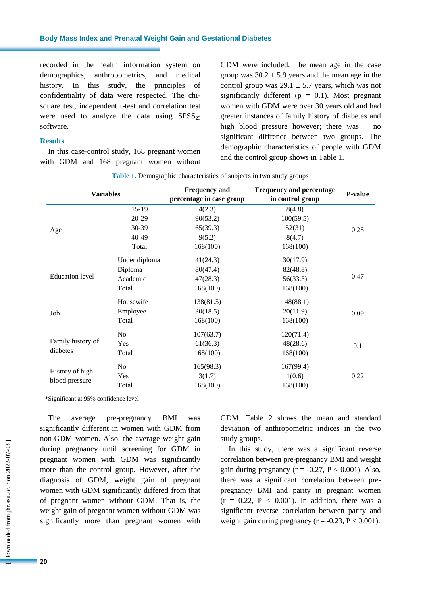recorded in the health information system on demographics, anthropometrics, and medical history. In this study, the principles of confidentiality of data were respected. The chisquare test, independent t-test and correlation test were used to analyze the data using  $SPSS<sub>23</sub>$ software.

#### **Results**

In this case-control study, 168 pregnant women with GDM and 168 pregnant women without GDM were included. The mean age in the case group was  $30.2 \pm 5.9$  years and the mean age in the control group was  $29.1 \pm 5.7$  years, which was not significantly different ( $p = 0.1$ ). Most pregnant women with GDM were over 30 years old and had greater instances of family history of diabetes and high blood pressure however; there was no significant diffrence between two groups. The demographic characteristics of people with GDM and the control group shows in Table 1.

| <b>Variables</b>                  |                | <b>Frequency and</b>     | <b>Frequency and percentage</b><br>in control group | <b>P-value</b> |
|-----------------------------------|----------------|--------------------------|-----------------------------------------------------|----------------|
|                                   |                | percentage in case group |                                                     |                |
| Age                               | 15-19          | 4(2.3)                   | 8(4.8)                                              | 0.28           |
|                                   | 20-29          | 90(53.2)                 | 100(59.5)                                           |                |
|                                   | 30-39          | 65(39.3)                 | 52(31)                                              |                |
|                                   | 40-49          | 9(5.2)                   | 8(4.7)                                              |                |
|                                   | Total          | 168(100)                 | 168(100)                                            |                |
| <b>Education</b> level            | Under diploma  | 41(24.3)                 | 30(17.9)                                            | 0.47           |
|                                   | Diploma        | 80(47.4)                 | 82(48.8)                                            |                |
|                                   | Academic       | 47(28.3)                 | 56(33.3)                                            |                |
|                                   | Total          | 168(100)                 | 168(100)                                            |                |
| Job                               | Housewife      | 138(81.5)                | 148(88.1)                                           | 0.09           |
|                                   | Employee       | 30(18.5)                 | 20(11.9)                                            |                |
|                                   | Total          | 168(100)                 | 168(100)                                            |                |
| Family history of<br>diabetes     | N <sub>o</sub> | 107(63.7)                | 120(71.4)                                           | 0.1            |
|                                   | Yes            | 61(36.3)                 | 48(28.6)                                            |                |
|                                   | Total          | 168(100)                 | 168(100)                                            |                |
| History of high<br>blood pressure | No             | 165(98.3)                | 167(99.4)                                           |                |
|                                   | Yes            | 3(1.7)                   | 1(0.6)                                              | 0.22           |
|                                   | Total          | 168(100)                 | 168(100)                                            |                |

\*Significant at 95% confidence level

The average pre-pregnancy BMI was significantly different in women with GDM from non-GDM women. Also, the average weight gain during pregnancy until screening for GDM in pregnant women with GDM was significantly more than the control group. However, after the diagnosis of GDM, weight gain of pregnant women with GDM significantly differed from that of pregnant women without GDM. That is, the weight gain of pregnant women without GDM was significantly more than pregnant women with GDM. Table 2 shows the mean and standard deviation of anthropometric indices in the two study groups.

In this study, there was a significant reverse correlation between pre-pregnancy BMI and weight gain during pregnancy ( $r = -0.27$ ,  $P < 0.001$ ). Also, there was a significant correlation between prepregnancy BMI and parity in pregnant women  $(r = 0.22, P < 0.001)$ . In addition, there was a significant reverse correlation between parity and weight gain during pregnancy ( $r = -0.23$ ,  $P < 0.001$ ).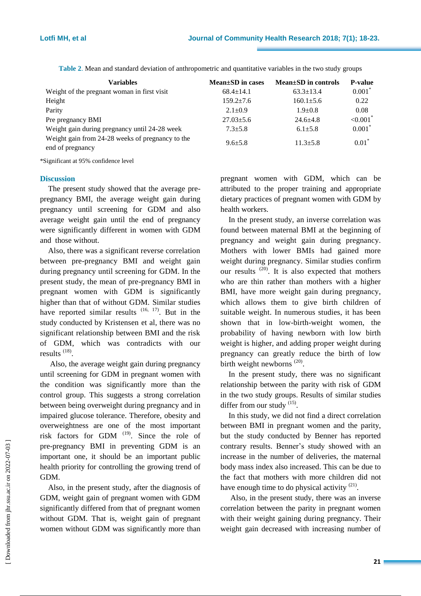| <b>Variables</b>                                                     | $Mean \pm SD$ in cases | Mean±SD in controls | <b>P-value</b>          |
|----------------------------------------------------------------------|------------------------|---------------------|-------------------------|
| Weight of the pregnant woman in first visit                          | $68.4 \pm 14.1$        | $63.3 \pm 13.4$     | $0.001*$                |
| Height                                                               | $159.2 + 7.6$          | $160.1 \pm 5.6$     | 0.22                    |
| Parity                                                               | $2.1 \pm 0.9$          | $1.9 + 0.8$         | 0.08                    |
| Pre pregnancy BMI                                                    | $27.03 \pm 5.6$        | $24.6 + 4.8$        | ${<}0.001$ <sup>*</sup> |
| Weight gain during pregnancy until 24-28 week                        | $7.3 \pm 5.8$          | $6.1 \pm 5.8$       | $0.001*$                |
| Weight gain from 24-28 weeks of pregnancy to the<br>end of pregnancy | $9.6 + 5.8$            | $11.3 + 5.8$        | $0.01*$                 |

**Table 2**. Mean and standard deviation of anthropometric and quantitative variables in the two study groups

\*Significant at 95% confidence level

#### **Discussion**

The present study showed that the average prepregnancy BMI, the average weight gain during pregnancy until screening for GDM and also average weight gain until the end of pregnancy were significantly different in women with GDM and those without.

Also, there was a significant reverse correlation between pre-pregnancy BMI and weight gain during pregnancy until screening for GDM. In the present study, the mean of pre-pregnancy BMI in pregnant women with GDM is significantly higher than that of without GDM. Similar studies have reported similar results  $(16, 17)$ . But in the study conducted by Kristensen et al, there was no significant relationship between BMI and the risk of GDM, which was contradicts with our results<sup>(18)</sup>.

Also, the average weight gain during pregnancy until screening for GDM in pregnant women with the condition was significantly more than the control group. This suggests a strong correlation between being overweight during pregnancy and in impaired glucose tolerance. Therefore, obesity and overweightness are one of the most important risk factors for GDM  $(19)$ . Since the role of pre-pregnancy BMI in preventing GDM is an important one, it should be an important public health priority for controlling the growing trend of GDM.

Also, in the present study, after the diagnosis of GDM, weight gain of pregnant women with GDM significantly differed from that of pregnant women without GDM. That is, weight gain of pregnant women without GDM was significantly more than

pregnant women with GDM, which can be attributed to the proper training and appropriate dietary practices of pregnant women with GDM by health workers.

In the present study, an inverse correlation was found between maternal BMI at the beginning of pregnancy and weight gain during pregnancy. Mothers with lower BMIs had gained more weight during pregnancy. Similar studies confirm our results  $(20)$ . It is also expected that mothers who are thin rather than mothers with a higher BMI, have more weight gain during pregnancy, which allows them to give birth children of suitable weight. In numerous studies, it has been shown that in low-birth-weight women, the probability of having newborn with low birth weight is higher, and adding proper weight during pregnancy can greatly reduce the birth of low birth weight newborns  $(20)$ .

In the present study, there was no significant relationship between the parity with risk of GDM in the two study groups. Results of similar studies differ from our study <sup>(15)</sup>.

In this study, we did not find a direct correlation between BMI in pregnant women and the parity, but the study conducted by Benner has reported contrary results. Benner's study showed with an increase in the number of deliveries, the maternal body mass index also increased. This can be due to the fact that mothers with more children did not have enough time to do physical activity  $(21)$ .

Also, in the present study, there was an inverse correlation between the parity in pregnant women with their weight gaining during pregnancy. Their weight gain decreased with increasing number of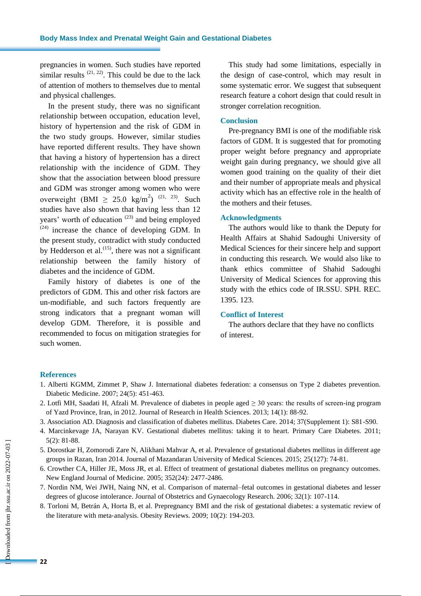pregnancies in women. Such studies have reported similar results  $(21, 22)$ . This could be due to the lack of attention of mothers to themselves due to mental and physical challenges.

In the present study, there was no significant relationship between occupation, education level, history of hypertension and the risk of GDM in the two study groups. However, similar studies have reported different results. They have shown that having a history of hypertension has a direct relationship with the incidence of GDM. They show that the association between blood pressure and GDM was stronger among women who were overweight (BMI  $\geq 25.0 \text{ kg/m}^2$ )<sup>(21, 23)</sup>. Such studies have also shown that having less than 12 years' worth of education  $(23)$  and being employed  $(24)$  increase the chance of developing GDM. In the present study, contradict with study conducted by Hedderson et al. $^{(15)}$ , there was not a significant relationship between the family history of diabetes and the incidence of GDM.

Family history of diabetes is one of the predictors of GDM. This and other risk factors are un-modifiable, and such factors frequently are strong indicators that a pregnant woman will develop GDM. Therefore, it is possible and recommended to focus on mitigation strategies for such women.

This study had some limitations, especially in the design of case-control, which may result in some systematic error. We suggest that subsequent research feature a cohort design that could result in stronger correlation recognition.

#### **Conclusion**

Pre-pregnancy BMI is one of the modifiable risk factors of GDM. It is suggested that for promoting proper weight before pregnancy and appropriate weight gain during pregnancy, we should give all women good training on the quality of their diet and their number of appropriate meals and physical activity which has an effective role in the health of the mothers and their fetuses.

#### **Acknowledgments**

The authors would like to thank the Deputy for Health Affairs at Shahid Sadoughi University of Medical Sciences for their sincere help and support in conducting this research. We would also like to thank ethics committee of Shahid Sadoughi University of Medical Sciences for approving this study with the ethics code of IR.SSU. SPH. REC. 1395. 123.

#### **Conflict of Interest**

The authors declare that they have no conflicts of interest.

#### **References**

- 1. Alberti KGMM, Zimmet P, Shaw J. International diabetes federation: a consensus on Type 2 diabetes prevention. Diabetic Medicine. 2007; 24(5): 451-463.
- 2. Lotfi MH, Saadati H, Afzali M. Prevalence of diabetes in people aged  $\geq$  30 years: the results of screen-ing program of Yazd Province, Iran, in 2012. Journal of Research in Health Sciences. 2013; 14(1): 88-92.
- 3. Association AD. Diagnosis and classification of diabetes mellitus. Diabetes Care. 2014; 37(Supplement 1): S81-S90.
- 4. Marcinkevage JA, Narayan KV. Gestational diabetes mellitus: taking it to heart. Primary Care Diabetes. 2011; 5(2): 81-88.
- 5. Dorostkar H, Zomorodi Zare N, Alikhani Mahvar A, et al. Prevalence of gestational diabetes mellitus in different age groups in Razan, Iran 2014. Journal of Mazandaran University of Medical Sciences. 2015; 25(127): 74-81.
- 6. Crowther CA, Hiller JE, Moss JR, et al. Effect of treatment of gestational diabetes mellitus on pregnancy outcomes. New England Journal of Medicine. 2005; 352(24): 2477-2486.
- 7. Nordin NM, Wei JWH, Naing NN, et al. Comparison of maternal–fetal outcomes in gestational diabetes and lesser degrees of glucose intolerance. Journal of Obstetrics and Gynaecology Research. 2006; 32(1): 107-114.
- 8. Torloni M, Betrán A, Horta B, et al. Prepregnancy BMI and the risk of gestational diabetes: a systematic review of the literature with meta‐analysis. Obesity Reviews. 2009; 10(2): 194-203.